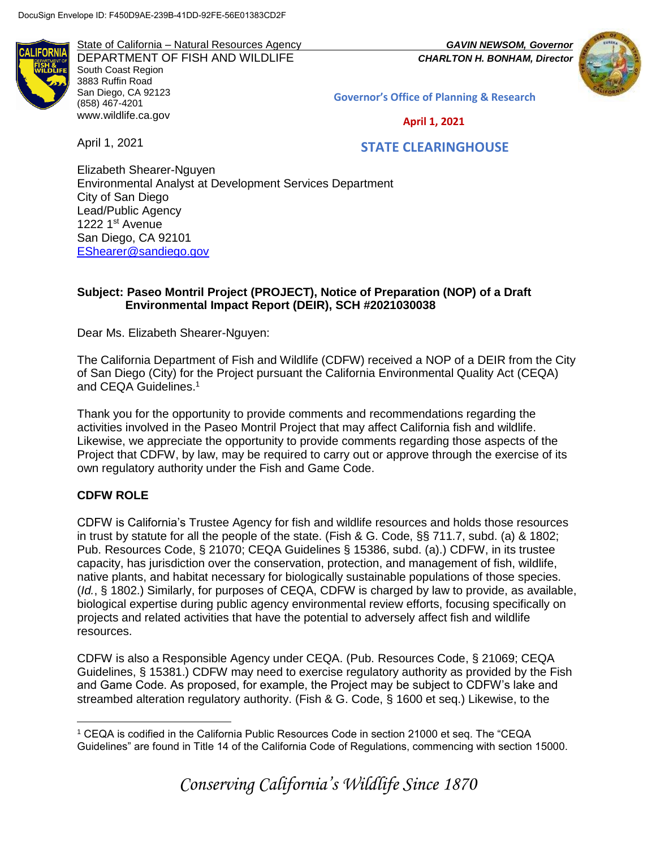**LIFORN** 

State of California – Natural Resources Agency *GAVIN NEWSOM, Governor* DEPARTMENT OF FISH AND WILDLIFE *CHARLTON H. BONHAM, Director*  South Coast Region 3883 Ruffin Road San Diego, CA 92123 (858) 467-4201 [www.wildlife.ca.gov](http://www.wildlife.ca.gov/)



**Governor's Office of Planning & Research**

 **April 1, 2021**

April 1, 2021

# **STATE CLEARINGHOUSE**

Elizabeth Shearer-Nguyen Environmental Analyst at Development Services Department City of San Diego Lead/Public Agency 1222 1<sup>st</sup> Avenue San Diego, CA 92101 [EShearer@sandiego.gov](mailto:EShearer@sandiego.gov)

## **Subject: Paseo Montril Project (PROJECT), Notice of Preparation (NOP) of a Draft Environmental Impact Report (DEIR), SCH #2021030038**

Dear Ms. Elizabeth Shearer-Nguyen:

The California Department of Fish and Wildlife (CDFW) received a NOP of a DEIR from the City of San Diego (City) for the Project pursuant the California Environmental Quality Act (CEQA) and CEQA Guidelines.<sup>1</sup>

Thank you for the opportunity to provide comments and recommendations regarding the activities involved in the Paseo Montril Project that may affect California fish and wildlife. Likewise, we appreciate the opportunity to provide comments regarding those aspects of the Project that CDFW, by law, may be required to carry out or approve through the exercise of its own regulatory authority under the Fish and Game Code.

## **CDFW ROLE**

 $\overline{a}$ 

CDFW is California's Trustee Agency for fish and wildlife resources and holds those resources in trust by statute for all the people of the state. (Fish & G. Code, §§ 711.7, subd. (a) & 1802; Pub. Resources Code, § 21070; CEQA Guidelines § 15386, subd. (a).) CDFW, in its trustee capacity, has jurisdiction over the conservation, protection, and management of fish, wildlife, native plants, and habitat necessary for biologically sustainable populations of those species. (*Id.*, § 1802.) Similarly, for purposes of CEQA, CDFW is charged by law to provide, as available, biological expertise during public agency environmental review efforts, focusing specifically on projects and related activities that have the potential to adversely affect fish and wildlife resources.

CDFW is also a Responsible Agency under CEQA. (Pub. Resources Code, § 21069; CEQA Guidelines, § 15381.) CDFW may need to exercise regulatory authority as provided by the Fish and Game Code. As proposed, for example, the Project may be subject to CDFW's lake and streambed alteration regulatory authority. (Fish & G. Code, § 1600 et seq.) Likewise, to the

<sup>1</sup> CEQA is codified in the California Public Resources Code in section 21000 et seq. The "CEQA Guidelines" are found in Title 14 of the California Code of Regulations, commencing with section 15000.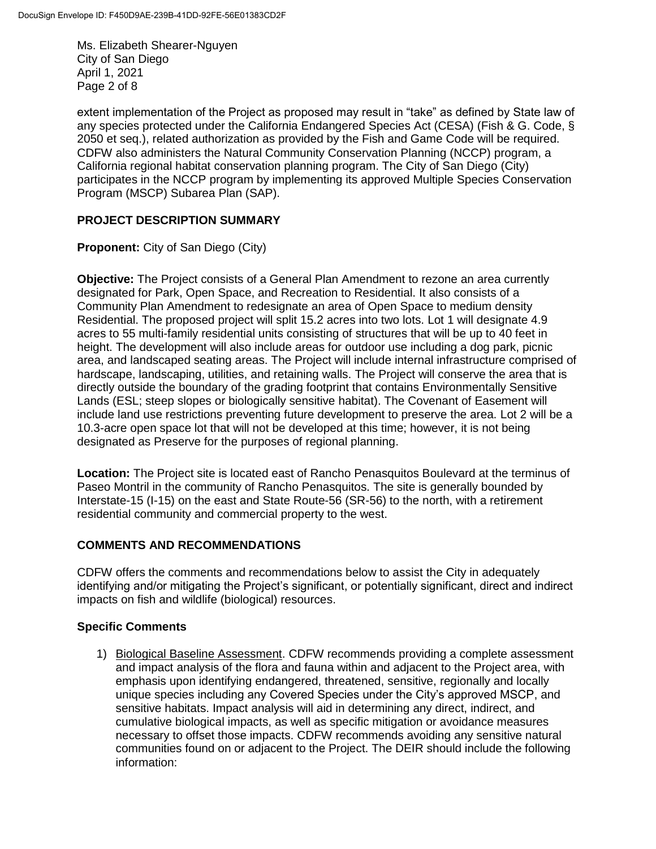Ms. Elizabeth Shearer-Nguyen City of San Diego April 1, 2021 Page 2 of 8

extent implementation of the Project as proposed may result in "take" as defined by State law of any species protected under the California Endangered Species Act (CESA) (Fish & G. Code, § 2050 et seq.), related authorization as provided by the Fish and Game Code will be required. CDFW also administers the Natural Community Conservation Planning (NCCP) program, a California regional habitat conservation planning program. The City of San Diego (City) participates in the NCCP program by implementing its approved Multiple Species Conservation Program (MSCP) Subarea Plan (SAP).

## **PROJECT DESCRIPTION SUMMARY**

**Proponent:** City of San Diego (City)

**Objective:** The Project consists of a General Plan Amendment to rezone an area currently designated for Park, Open Space, and Recreation to Residential. It also consists of a Community Plan Amendment to redesignate an area of Open Space to medium density Residential. The proposed project will split 15.2 acres into two lots. Lot 1 will designate 4.9 acres to 55 multi-family residential units consisting of structures that will be up to 40 feet in height. The development will also include areas for outdoor use including a dog park, picnic area, and landscaped seating areas. The Project will include internal infrastructure comprised of hardscape, landscaping, utilities, and retaining walls. The Project will conserve the area that is directly outside the boundary of the grading footprint that contains Environmentally Sensitive Lands (ESL; steep slopes or biologically sensitive habitat). The Covenant of Easement will include land use restrictions preventing future development to preserve the area. Lot 2 will be a 10.3-acre open space lot that will not be developed at this time; however, it is not being designated as Preserve for the purposes of regional planning.

**Location:** The Project site is located east of Rancho Penasquitos Boulevard at the terminus of Paseo Montril in the community of Rancho Penasquitos. The site is generally bounded by Interstate-15 (I-15) on the east and State Route-56 (SR-56) to the north, with a retirement residential community and commercial property to the west.

# **COMMENTS AND RECOMMENDATIONS**

CDFW offers the comments and recommendations below to assist the City in adequately identifying and/or mitigating the Project's significant, or potentially significant, direct and indirect impacts on fish and wildlife (biological) resources.

## **Specific Comments**

1) Biological Baseline Assessment. CDFW recommends providing a complete assessment and impact analysis of the flora and fauna within and adjacent to the Project area, with emphasis upon identifying endangered, threatened, sensitive, regionally and locally unique species including any Covered Species under the City's approved MSCP, and sensitive habitats. Impact analysis will aid in determining any direct, indirect, and cumulative biological impacts, as well as specific mitigation or avoidance measures necessary to offset those impacts. CDFW recommends avoiding any sensitive natural communities found on or adjacent to the Project. The DEIR should include the following information: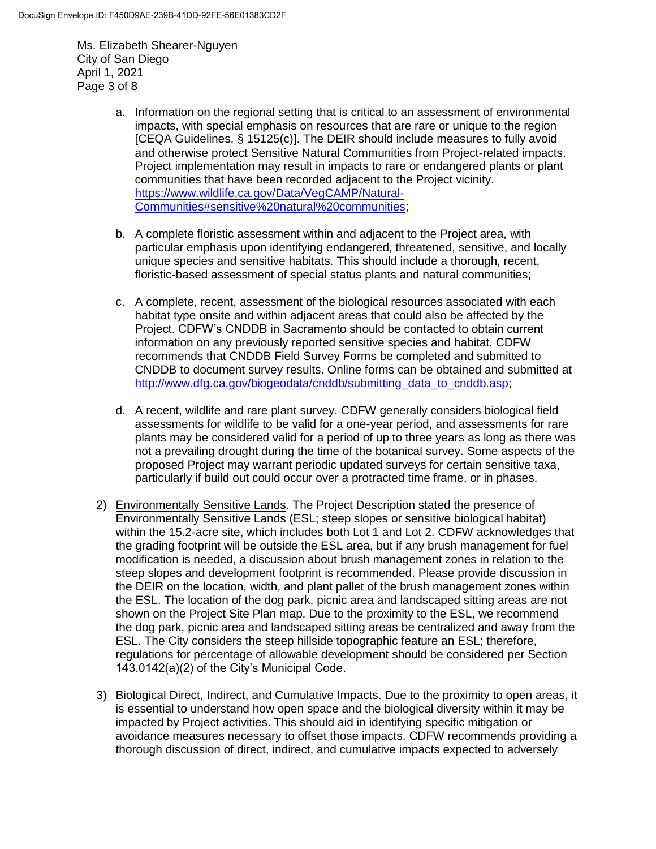Ms. Elizabeth Shearer-Nguyen City of San Diego April 1, 2021 Page 3 of 8

- a. Information on the regional setting that is critical to an assessment of environmental impacts, with special emphasis on resources that are rare or unique to the region [CEQA Guidelines, § 15125(c)]. The DEIR should include measures to fully avoid and otherwise protect Sensitive Natural Communities from Project-related impacts. Project implementation may result in impacts to rare or endangered plants or plant communities that have been recorded adjacent to the Project vicinity. [https://www.wildlife.ca.gov/Data/VegCAMP/Natural-](https://www.wildlife.ca.gov/Data/VegCAMP/Natural-Communities#sensitive%20natural%20communities)[Communities#sensitive%20natural%20communities;](https://www.wildlife.ca.gov/Data/VegCAMP/Natural-Communities#sensitive%20natural%20communities)
- b. A complete floristic assessment within and adjacent to the Project area, with particular emphasis upon identifying endangered, threatened, sensitive, and locally unique species and sensitive habitats. This should include a thorough, recent, floristic-based assessment of special status plants and natural communities;
- c. A complete, recent, assessment of the biological resources associated with each habitat type onsite and within adjacent areas that could also be affected by the Project. CDFW's CNDDB in Sacramento should be contacted to obtain current information on any previously reported sensitive species and habitat. CDFW recommends that CNDDB Field Survey Forms be completed and submitted to CNDDB to document survey results. Online forms can be obtained and submitted at [http://www.dfg.ca.gov/biogeodata/cnddb/submitting\\_data\\_to\\_cnddb.asp;](http://www.dfg.ca.gov/biogeodata/cnddb/submitting_data_to_cnddb.asp)
- d. A recent, wildlife and rare plant survey. CDFW generally considers biological field assessments for wildlife to be valid for a one-year period, and assessments for rare plants may be considered valid for a period of up to three years as long as there was not a prevailing drought during the time of the botanical survey. Some aspects of the proposed Project may warrant periodic updated surveys for certain sensitive taxa, particularly if build out could occur over a protracted time frame, or in phases.
- 2) Environmentally Sensitive Lands. The Project Description stated the presence of Environmentally Sensitive Lands (ESL; steep slopes or sensitive biological habitat) within the 15.2-acre site, which includes both Lot 1 and Lot 2. CDFW acknowledges that the grading footprint will be outside the ESL area, but if any brush management for fuel modification is needed, a discussion about brush management zones in relation to the steep slopes and development footprint is recommended. Please provide discussion in the DEIR on the location, width, and plant pallet of the brush management zones within the ESL. The location of the dog park, picnic area and landscaped sitting areas are not shown on the Project Site Plan map. Due to the proximity to the ESL, we recommend the dog park, picnic area and landscaped sitting areas be centralized and away from the ESL. The City considers the steep hillside topographic feature an ESL; therefore, regulations for percentage of allowable development should be considered per Section 143.0142(a)(2) of the City's Municipal Code.
- 3) Biological Direct, Indirect, and Cumulative Impacts. Due to the proximity to open areas, it is essential to understand how open space and the biological diversity within it may be impacted by Project activities. This should aid in identifying specific mitigation or avoidance measures necessary to offset those impacts. CDFW recommends providing a thorough discussion of direct, indirect, and cumulative impacts expected to adversely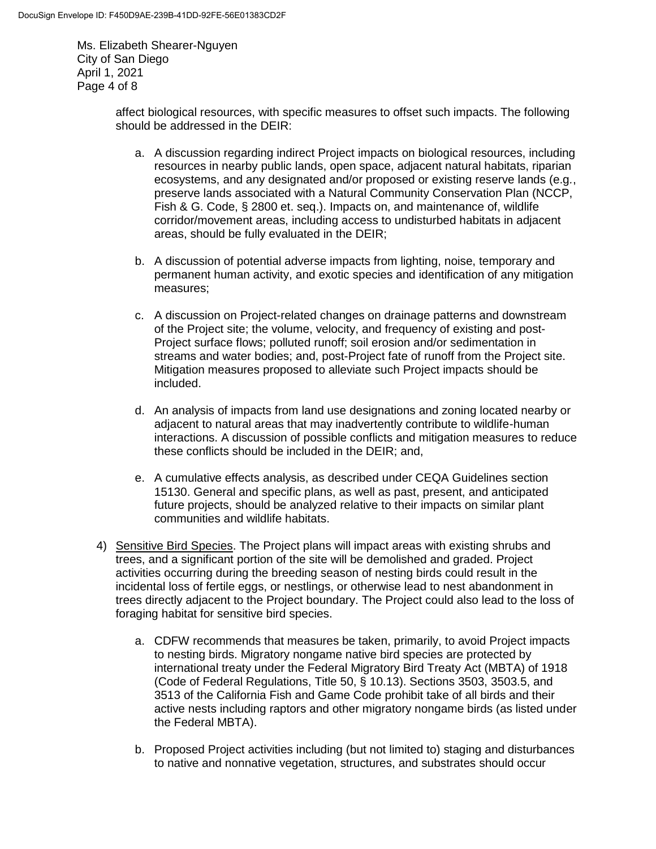Ms. Elizabeth Shearer-Nguyen City of San Diego April 1, 2021 Page 4 of 8

> affect biological resources, with specific measures to offset such impacts. The following should be addressed in the DEIR:

- a. A discussion regarding indirect Project impacts on biological resources, including resources in nearby public lands, open space, adjacent natural habitats, riparian ecosystems, and any designated and/or proposed or existing reserve lands (e.g*.*, preserve lands associated with a Natural Community Conservation Plan (NCCP, Fish & G. Code, § 2800 et. seq.). Impacts on, and maintenance of, wildlife corridor/movement areas, including access to undisturbed habitats in adjacent areas, should be fully evaluated in the DEIR;
- b. A discussion of potential adverse impacts from lighting, noise, temporary and permanent human activity, and exotic species and identification of any mitigation measures;
- c. A discussion on Project-related changes on drainage patterns and downstream of the Project site; the volume, velocity, and frequency of existing and post-Project surface flows; polluted runoff; soil erosion and/or sedimentation in streams and water bodies; and, post-Project fate of runoff from the Project site. Mitigation measures proposed to alleviate such Project impacts should be included.
- d. An analysis of impacts from land use designations and zoning located nearby or adjacent to natural areas that may inadvertently contribute to wildlife-human interactions. A discussion of possible conflicts and mitigation measures to reduce these conflicts should be included in the DEIR; and,
- e. A cumulative effects analysis, as described under CEQA Guidelines section 15130. General and specific plans, as well as past, present, and anticipated future projects, should be analyzed relative to their impacts on similar plant communities and wildlife habitats.
- 4) Sensitive Bird Species. The Project plans will impact areas with existing shrubs and trees, and a significant portion of the site will be demolished and graded. Project activities occurring during the breeding season of nesting birds could result in the incidental loss of fertile eggs, or nestlings, or otherwise lead to nest abandonment in trees directly adjacent to the Project boundary. The Project could also lead to the loss of foraging habitat for sensitive bird species.
	- a. CDFW recommends that measures be taken, primarily, to avoid Project impacts to nesting birds. Migratory nongame native bird species are protected by international treaty under the Federal Migratory Bird Treaty Act (MBTA) of 1918 (Code of Federal Regulations, Title 50, § 10.13). Sections 3503, 3503.5, and 3513 of the California Fish and Game Code prohibit take of all birds and their active nests including raptors and other migratory nongame birds (as listed under the Federal MBTA).
	- b. Proposed Project activities including (but not limited to) staging and disturbances to native and nonnative vegetation, structures, and substrates should occur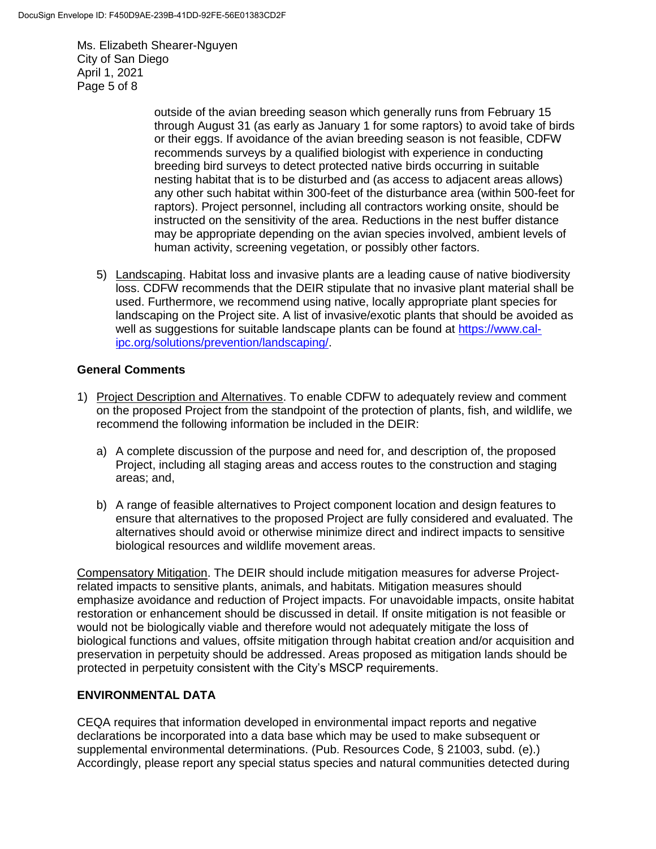Ms. Elizabeth Shearer-Nguyen City of San Diego April 1, 2021 Page 5 of 8

> outside of the avian breeding season which generally runs from February 15 through August 31 (as early as January 1 for some raptors) to avoid take of birds or their eggs. If avoidance of the avian breeding season is not feasible, CDFW recommends surveys by a qualified biologist with experience in conducting breeding bird surveys to detect protected native birds occurring in suitable nesting habitat that is to be disturbed and (as access to adjacent areas allows) any other such habitat within 300-feet of the disturbance area (within 500-feet for raptors). Project personnel, including all contractors working onsite, should be instructed on the sensitivity of the area. Reductions in the nest buffer distance may be appropriate depending on the avian species involved, ambient levels of human activity, screening vegetation, or possibly other factors.

5) Landscaping. Habitat loss and invasive plants are a leading cause of native biodiversity loss. CDFW recommends that the DEIR stipulate that no invasive plant material shall be used. Furthermore, we recommend using native, locally appropriate plant species for landscaping on the Project site. A list of invasive/exotic plants that should be avoided as well as suggestions for suitable landscape plants can be found at [https://www.cal](https://www.cal-ipc.org/solutions/prevention/landscaping/)[ipc.org/solutions/prevention/landscaping/.](https://www.cal-ipc.org/solutions/prevention/landscaping/)

#### **General Comments**

- 1) Project Description and Alternatives. To enable CDFW to adequately review and comment on the proposed Project from the standpoint of the protection of plants, fish, and wildlife, we recommend the following information be included in the DEIR:
	- a) A complete discussion of the purpose and need for, and description of, the proposed Project, including all staging areas and access routes to the construction and staging areas; and,
	- b) A range of feasible alternatives to Project component location and design features to ensure that alternatives to the proposed Project are fully considered and evaluated. The alternatives should avoid or otherwise minimize direct and indirect impacts to sensitive biological resources and wildlife movement areas.

Compensatory Mitigation. The DEIR should include mitigation measures for adverse Projectrelated impacts to sensitive plants, animals, and habitats. Mitigation measures should emphasize avoidance and reduction of Project impacts. For unavoidable impacts, onsite habitat restoration or enhancement should be discussed in detail. If onsite mitigation is not feasible or would not be biologically viable and therefore would not adequately mitigate the loss of biological functions and values, offsite mitigation through habitat creation and/or acquisition and preservation in perpetuity should be addressed. Areas proposed as mitigation lands should be protected in perpetuity consistent with the City's MSCP requirements.

## **ENVIRONMENTAL DATA**

CEQA requires that information developed in environmental impact reports and negative declarations be incorporated into a data base which may be used to make subsequent or supplemental environmental determinations. (Pub. Resources Code, § 21003, subd. (e).) Accordingly, please report any special status species and natural communities detected during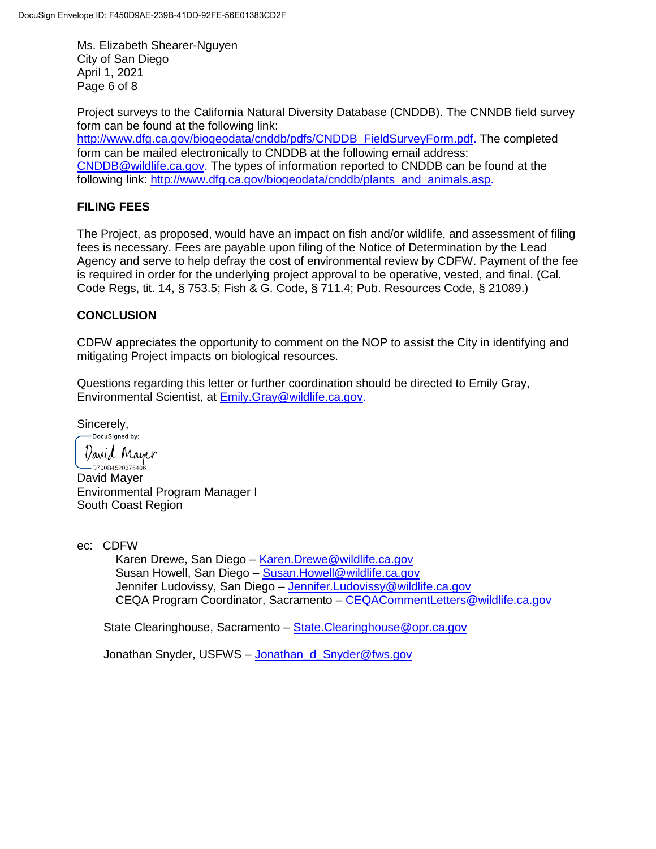Ms. Elizabeth Shearer-Nguyen City of San Diego April 1, 2021 Page 6 of 8

Project surveys to the California Natural Diversity Database (CNDDB). The CNNDB field survey form can be found at the following link:

[http://www.dfg.ca.gov/biogeodata/cnddb/pdfs/CNDDB\\_FieldSurveyForm.pdf.](http://www.dfg.ca.gov/biogeodata/cnddb/pdfs/CNDDB_FieldSurveyForm.pdf) The completed form can be mailed electronically to CNDDB at the following email address: [CNDDB@wildlife.ca.gov.](mailto:cnddb@dfg.ca.gov) The types of information reported to CNDDB can be found at the following link: [http://www.dfg.ca.gov/biogeodata/cnddb/plants\\_and\\_animals.asp.](http://www.dfg.ca.gov/biogeodata/cnddb/plants_and_animals.asp)

# **FILING FEES**

The Project, as proposed, would have an impact on fish and/or wildlife, and assessment of filing fees is necessary. Fees are payable upon filing of the Notice of Determination by the Lead Agency and serve to help defray the cost of environmental review by CDFW. Payment of the fee is required in order for the underlying project approval to be operative, vested, and final. (Cal. Code Regs, tit. 14, § 753.5; Fish & G. Code, § 711.4; Pub. Resources Code, § 21089.)

## **CONCLUSION**

CDFW appreciates the opportunity to comment on the NOP to assist the City in identifying and mitigating Project impacts on biological resources.

Questions regarding this letter or further coordination should be directed to Emily Gray, Environmental Scientist, at [Emily.Gray@wildlife.ca.gov.](mailto:Emily.Gray@wildlife.ca.gov)

Sincerely,<br> **Docusigned** by:

David Mayer

 $-$ D700B4520375406... David Mayer Environmental Program Manager I South Coast Region

ec: CDFW

Karen Drewe, San Diego – [Karen.Drewe@wildlife.ca.gov](mailto:Karen.Drewe@wildlife.ca.gov) Susan Howell, San Diego – [Susan.Howell@wildlife.ca.gov](mailto:Susan.Howell@wildlife.ca.gov) Jennifer Ludovissy, San Diego – [Jennifer.Ludovissy@wildlife.ca.gov](mailto:Jennifer.Ludovissy@wildlife.ca.gov) CEQA Program Coordinator, Sacramento – [CEQACommentLetters@wildlife.ca.gov](mailto:CEQACommentLetters@wildlife.ca.gov)

State Clearinghouse, Sacramento – [State.Clearinghouse@opr.ca.gov](mailto:State.Clearinghouse@opr.ca.gov)

Jonathan Snyder, USFWS - [Jonathan\\_d\\_Snyder@fws.gov](mailto:Jonathan_d_Snyder@fws.gov)